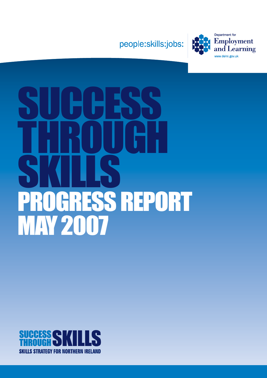



# SUCCESS THROUGH SKILLS **GRESS REPORT** MAY 2007

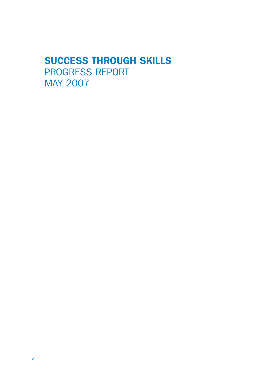# SUCCESS THROUGH SKILLS PROGRESS REPORT MAY 2007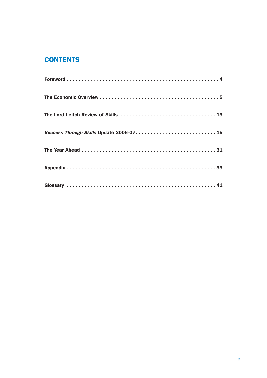## **CONTENTS**

| Success Through Skills Update 2006-07.  15 |  |
|--------------------------------------------|--|
|                                            |  |
|                                            |  |
|                                            |  |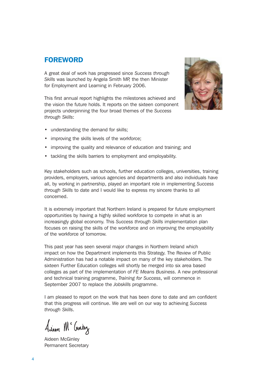### FOREWORD

A great deal of work has progressed since *Success through Skills* was launched by Angela Smith MP, the then Minister for Employment and Learning in February 2006.

This first annual report highlights the milestones achieved and the vision the future holds. It reports on the sixteen component projects underpinning the four broad themes of the *Success through Skills*:



- understanding the demand for skills;
- improving the skills levels of the workforce;
- improving the quality and relevance of education and training; and
- tackling the skills barriers to employment and employability.

Key stakeholders such as schools, further education colleges, universities, training providers, employers, various agencies and departments and also individuals have all, by working in partnership, played an important role in implementing *Success through Skills* to date and I would like to express my sincere thanks to all concerned.

It is extremely important that Northern Ireland is prepared for future employment opportunities by having a highly skilled workforce to compete in what is an increasingly global economy. This *Success through Skills* implementation plan focuses on raising the skills of the workforce and on improving the employability of the workforce of tomorrow.

This past year has seen several major changes in Northern Ireland which impact on how the Department implements this Strategy. The Review of Public Administration has had a notable impact on many of the key stakeholders. The sixteen Further Education colleges will shortly be merged into six area based colleges as part of the implementation of *FE Means Business*. A new professional and technical training programme, *Training for Success*, will commence in September 2007 to replace the *Jobskills* programme.

I am pleased to report on the work that has been done to date and am confident that this progress will continue. We are well on our way to achieving *Success through Skills*.

Anien Mc Cuney

Aideen McGinley Permanent Secretary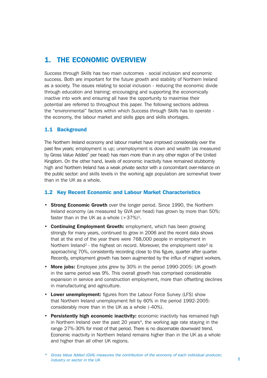## 1. THE ECONOMIC OVERVIEW

*Success through Skills* has two main outcomes - social inclusion and economic success. Both are important for the future growth and stability of Northern Ireland as a society. The issues relating to social inclusion - reducing the economic divide through education and training; encouraging and supporting the economically inactive into work and ensuring all have the opportunity to maximise their potential are referred to throughout this paper. The following sections address the "environmental" factors within which *Success through Skills* has to operate the economy, the labour market and skills gaps and skills shortages.

#### 1.1 Background

The Northern Ireland economy and labour market have improved considerably over the past few years; employment is up; unemployment is down and wealth (as measured by Gross Value Added\* per head) has risen more than in any other region of the United Kingdom. On the other hand, levels of economic inactivity have remained stubbornly high and Northern Ireland has a weak private sector with a concomitant over-reliance on the public sector: and skills levels in the working age population are somewhat lower than in the UK as a whole.

#### 1.2 Key Recent Economic and Labour Market Characteristics

- Strong Economic Growth over the longer period. Since 1990, the Northern Ireland economy (as measured by GVA per head) has grown by more than 50%: faster than in the UK as a whole  $(+37%)^1$ .
- Continuing Employment Growth: employment, which has been growing strongly for many years, continued to grow in 2006 and the recent data shows that at the end of the year there were 768,000 people in employment in Northern Ireland<sup>2</sup> - the highest on record. Moreover, the employment rate<sup>3</sup> is approaching 70%, consistently recording close to this figure, quarter after quarter. Recently, employment growth has been augmented by the influx of migrant workers.
- More jobs: Employee jobs grew by 30% in the period 1990-2005: UK growth in the same period was 9%. This overall growth has comprised considerable expansion in service and construction employment, more than offsetting declines in manufacturing and agriculture.
- Lower unemployment: figures from the Labour Force Survey (LFS) show that Northern Ireland unemployment fell by 60% in the period 1992-2005: considerably more than in the UK as a whole (-40%).
- Persistently high economic inactivity: economic inactivity has remained high in Northern Ireland over the past 20 years<sup>4</sup>, the working age rate staying in the range 27%-30% for most of that period. There is no discernable downward trend. Economic inactivity in Northern Ireland remains higher than in the UK as a whole and higher than all other UK regions.

<sup>\*</sup> Gross Value Added (GVA) measures the contribution of the economy of each individual producer, industry or sector in the UK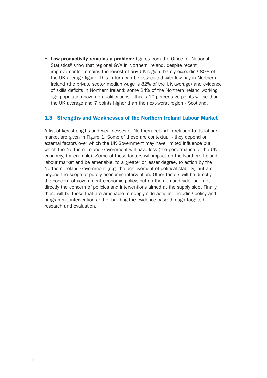• Low productivity remains a problem: figures from the Office for National Statistics<sup>5</sup> show that regional GVA in Northern Ireland, despite recent improvements, remains the lowest of any UK region, barely exceeding 80% of the UK average figure. This in turn can be associated with low pay in Northern Ireland (the private sector median wage is 82% of the UK average) and evidence of skills deficits in Northern Ireland: some 24% of the Northern Ireland working age population have no qualifications<sup> $6$ </sup>; this is 10 percentage points worse than the UK average and 7 points higher than the next-worst region - Scotland.

#### 1.3 Strengths and Weaknesses of the Northern Ireland Labour Market

A list of key strengths and weaknesses of Northern Ireland in relation to its labour market are given in Figure 1. Some of these are contextual - they depend on external factors over which the UK Government may have limited influence but which the Northern Ireland Government will have less (the performance of the UK economy, for example). Some of these factors will impact on the Northern Ireland labour market and be amenable, to a greater or lesser degree, to action by the Northern Ireland Government (e.g. the achievement of political stability) but are beyond the scope of purely economic intervention. Other factors will be directly the concern of government economic policy, but on the demand side, and not directly the concern of policies and interventions aimed at the supply side. Finally, there will be those that are amenable to supply side actions, including policy and programme intervention and of building the evidence base through targeted research and evaluation.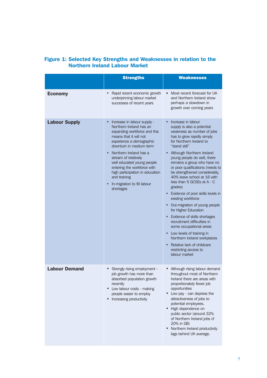|                      | <b>Strengths</b>                                                                                                                                                                                                                                                                                                                                                                                   | <b>Weaknesses</b>                                                                                                                                                                                                                                                                                                                                                                                                                                                                                                                                                                                                                                                                                                                                                                  |
|----------------------|----------------------------------------------------------------------------------------------------------------------------------------------------------------------------------------------------------------------------------------------------------------------------------------------------------------------------------------------------------------------------------------------------|------------------------------------------------------------------------------------------------------------------------------------------------------------------------------------------------------------------------------------------------------------------------------------------------------------------------------------------------------------------------------------------------------------------------------------------------------------------------------------------------------------------------------------------------------------------------------------------------------------------------------------------------------------------------------------------------------------------------------------------------------------------------------------|
| <b>Economy</b>       | Rapid recent economic growth<br>$\bullet$<br>underpinning labour market<br>successes of recent years                                                                                                                                                                                                                                                                                               | Most recent forecast for UK<br>and Northern Ireland show<br>perhaps a slowdown in<br>growth over coming years                                                                                                                                                                                                                                                                                                                                                                                                                                                                                                                                                                                                                                                                      |
| <b>Labour Supply</b> | Increase in labour supply -<br>Northern Ireland has an<br>expanding workforce and this<br>means that it will not<br>experience a demographic<br>downturn in medium term<br>Northern Ireland has a<br>$\bullet$<br>stream of relatively<br>well educated young people<br>entering the workforce with<br>high participation in education<br>and training<br>In-migration to fill labour<br>shortages | Increase in labour<br>supply is also a potential<br>weakness as number of jobs<br>has to grow rapidly simply<br>for Northern Ireland to<br>"stand still"<br>Although Northern Ireland<br>young people do well, there<br>remains a group who have no<br>or poor qualifications (needs to<br>be strengthened considerably,<br>40% leave school at 16 with<br>less than 5 GCSEs at A - C<br>grades)<br>Evidence of poor skills levels in<br>$\bullet$<br>existing workforce<br>• Out-migration of young people<br>for Higher Education<br>• Evidence of skills shortages<br>recruitment difficulties in<br>some occupational areas<br>• Low levels of training in<br>Northern Ireland workplaces<br>Relative lack of childcare<br>$\bullet$<br>restricting access to<br>labour market |
| <b>Labour Demand</b> | Strongly rising employment -<br>job growth has more than<br>absorbed population growth<br>recently<br>Low labour costs - making<br>$\bullet$<br>people easier to employ<br>Increasing productivity                                                                                                                                                                                                 | Although rising labour demand<br>throughout most of Northern<br>Ireland there are areas with<br>proportionately fewer job<br>opportunities<br>• Low pay - can depress the<br>attractiveness of jobs to<br>potential employees.<br>High dependence on<br>public sector (around 32%<br>of Northern Ireland jobs cf<br>20% in GB)<br>Northern Ireland productivity<br>$\bullet$<br>lags behind UK average.                                                                                                                                                                                                                                                                                                                                                                            |

#### Figure 1: Selected Key Strengths and Weaknesses in relation to the Northern Ireland Labour Market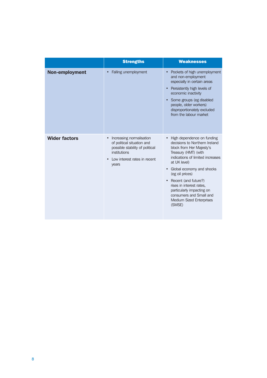|                      | <b>Strengths</b>                                                                                                                                                | <b>Weaknesses</b>                                                                                                                                                                                                                                                                                                                                                                                      |
|----------------------|-----------------------------------------------------------------------------------------------------------------------------------------------------------------|--------------------------------------------------------------------------------------------------------------------------------------------------------------------------------------------------------------------------------------------------------------------------------------------------------------------------------------------------------------------------------------------------------|
| Non-employment       | Falling unemployment                                                                                                                                            | Pockets of high unemployment<br>and non-employment<br>especially in certain areas<br>Persistently high levels of<br>economic inactivity<br>Some groups (eg disabled<br>people, older workers)<br>disproportionately excluded<br>from the labour market                                                                                                                                                 |
| <b>Wider factors</b> | Increasing normalisation<br>$\bullet$<br>of political situation and<br>possible stability of political<br>institutions<br>Low interest rates in recent<br>years | High dependence on funding<br>$\bullet$<br>decisions to Northern Ireland<br>block from Her Majesty's<br>Treasury (HMT) (with<br>indications of limited increases<br>at UK level)<br>Global economy and shocks<br>$\bullet$<br>(eg oil prices)<br>Recent (and future?)<br>rises in interest rates.<br>particularly impacting on<br>consumers and Small and<br><b>Medium Sized Enterprises</b><br>(SMSE) |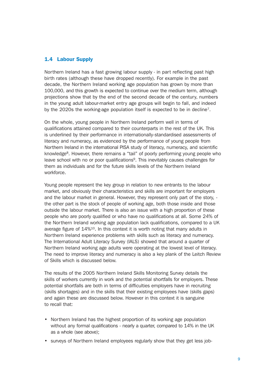#### 1.4 Labour Supply

Northern Ireland has a fast growing labour supply - in part reflecting past high birth rates (although these have dropped recently). For example in the past decade, the Northern Ireland working age population has grown by more than 100,000, and this growth is expected to continue over the medium term, although projections show that by the end of the second decade of the century, numbers in the young adult labour-market entry age groups will begin to fall, and indeed by the 2020s the working-age population itself is expected to be in decline<sup>7</sup>.

On the whole, young people in Northern Ireland perform well in terms of qualifications attained compared to their counterparts in the rest of the UK. This is underlined by their performance in internationally-standardised assessments of literacy and numeracy, as evidenced by the performance of young people from Northern Ireland in the international PISA study of literacy, numeracy, and scientific knowledge<sup>8</sup>. However, there remains a "tail" of poorly performing young people who leave school with no or poor qualifications9. This inevitably causes challenges for them as individuals and for the future skills levels of the Northern Ireland workforce.

Young people represent the key group in relation to new entrants to the labour market, and obviously their characteristics and skills are important for employers and the labour market in general. However, they represent only part of the story, the other part is the stock of people of working age, both those inside and those outside the labour market. There is also an issue with a high proportion of these people who are poorly qualified or who have no qualifications at all. Some 24% of the Northern Ireland working age population lack qualifications, compared to a UK average figure of 14%10. In this context it is worth noting that many adults in Northern Ireland experience problems with skills such as literacy and numeracy. The International Adult Literacy Survey (IALS) showed that around a quarter of Northern Ireland working age adults were operating at the lowest level of literacy. The need to improve literacy and numeracy is also a key plank of the Leitch Review of Skills which is discussed below.

The results of the 2005 Northern Ireland Skills Monitoring Survey details the skills of workers currently in work and the potential shortfalls for employers. These potential shortfalls are both in terms of difficulties employers have in recruiting (skills shortages) and in the skills that their existing employees have (skills gaps) and again these are discussed below. However in this context it is sanguine to recall that:

- Northern Ireland has the highest proportion of its working age population without any formal qualifications - nearly a quarter, compared to 14% in the UK as a whole (see above);
- surveys of Northern Ireland employees regularly show that they get less job-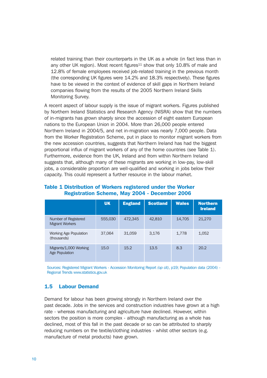related training than their counterparts in the UK as a whole (in fact less than in any other UK region). Most recent figures<sup>11</sup> show that only  $10.8\%$  of male and 12.8% of female employees received job-related training in the previous month (the corresponding UK figures were 14.2% and 18.3% respectively). These figures have to be viewed in the context of evidence of skill gaps in Northern Ireland companies flowing from the results of the 2005 Northern Ireland Skills Monitoring Survey.

A recent aspect of labour supply is the issue of migrant workers. Figures published by Northern Ireland Statistics and Research Agency (NISRA) show that the numbers of in-migrants has grown sharply since the accession of eight eastern European nations to the European Union in 2004. More than 26,000 people entered Northern Ireland in 2004/5, and net in-migration was nearly 7,000 people. Data from the Worker Registration Scheme, put in place to monitor migrant workers from the new accession countries, suggests that Northern Ireland has had the biggest proportional influx of migrant workers of any of the home countries (see Table 1). Furthermore, evidence from the UK, Ireland and from within Northern Ireland suggests that, although many of these migrants are working in low-pay, low-skill jobs, a considerable proportion are well-qualified and working in jobs below their capacity. This could represent a further resource in the labour market.

|                                                | <b>UK</b> | <b>England</b> | <b>Scotland</b> | <b>Wales</b> | <b>Northern</b><br><b>Ireland</b> |
|------------------------------------------------|-----------|----------------|-----------------|--------------|-----------------------------------|
| Number of Registered<br><b>Migrant Workers</b> | 555,030   | 472,345        | 42,810          | 14,705       | 21,270                            |
| <b>Working Age Population</b><br>(thousands)   | 37,064    | 31,059         | 3,176           | 1,778        | 1,052                             |
| Migrants/1,000 Working<br>Age Population       | 15.0      | 15.2           | 13.5            | 8.3          | 20.2                              |

#### Table 1 Distribution of Workers registered under the Worker Registration Scheme, May 2004 - December 2006

Sources: Registered Migrant Workers - Accession Monitoring Report *(op cit)*, p19; Population data (2004) - Regional Trends www.statistics.gov.uk

#### 1.5 Labour Demand

Demand for labour has been growing strongly in Northern Ireland over the past decade. Jobs in the services and construction industries have grown at a high rate - whereas manufacturing and agriculture have declined. However, within sectors the position is more complex - although manufacturing as a whole has declined, most of this fall in the past decade or so can be attributed to sharply reducing numbers on the textile/clothing industries - whilst other sectors (e.g. manufacture of metal products) have grown.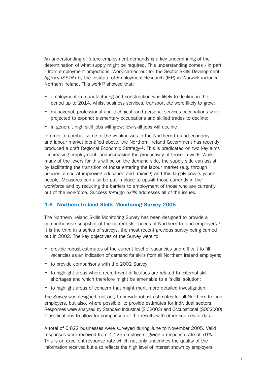An understanding of future employment demands is a key underpinning of the determination of what supply might be required. This understanding comes - in part - from employment projections. Work carried out for the Sector Skills Development Agency (SSDA) by the Institute of Employment Research (IER) in Warwick included Northern Ireland. This work<sup>12</sup> showed that:

- employment in manufacturing and construction was likely to decline in the period up to 2014, whilst business services, transport etc were likely to grow;
- managerial, professional and technical, and personal services occupations were projected to expand; elementary occupations and skilled trades to decline;
- in general, high skill jobs will grow; low-skill jobs will decline

In order to combat some of the weaknesses in the Northern Ireland economy and labour market identified above, the Northern Ireland Government has recently produced a draft Regional Economic Strategy<sup>13</sup>. This is predicated on two key aims - increasing employment, and increasing the productivity of those in work. Whilst many of the levers for this will be on the demand side, the supply side can assist by facilitating the transition of those entering the labour market (e.g. through policies aimed at improving education and training) and this largely covers young people. Measures can also be put in place to upskill those currently in the workforce and by reducing the barriers to employment of those who are currently out of the workforce. *Success through Skills* addresses all of the issues.

#### 1.6 Northern Ireland Skills Monitoring Survey 2005

The Northern Ireland Skills Monitoring Survey has been designed to provide a comprehensive snapshot of the current skill needs of Northern Ireland employers14. It is the third in a series of surveys, the most recent previous survey being carried out in 2002. The key objectives of the Survey were to:

- provide robust estimates of the current level of vacancies and difficult to fill vacancies as an indication of demand for skills from all Northern Ireland employers;
- to provide comparisons with the 2002 Survey;
- to highlight areas where recruitment difficulties are related to external skill shortages and which therefore might be amenable to a 'skills' solution;
- to highlight areas of concern that might merit more detailed investigation.

The Survey was designed, not only to provide robust estimates for all Northern Ireland employers, but also, where possible, to provide estimates for individual sectors. Responses were analysed by Standard Industrial (SIC2003) and Occupational (SOC2000) Classifications to allow for comparison of the results with other sources of data.

A total of 6,822 businesses were surveyed during June to November 2005. Valid responses were received from 4,126 employers, giving a response rate of 70%. This is an excellent response rate which not only underlines the quality of the information received but also reflects the high level of interest shown by employers.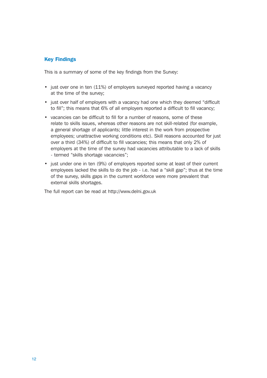#### Key Findings

This is a summary of some of the key findings from the Survey:

- just over one in ten (11%) of employers surveyed reported having a vacancy at the time of the survey;
- just over half of employers with a vacancy had one which they deemed "difficult to fill"; this means that 6% of all employers reported a difficult to fill vacancy;
- vacancies can be difficult to fill for a number of reasons, some of these relate to skills issues, whereas other reasons are not skill-related (for example, a general shortage of applicants; little interest in the work from prospective employees; unattractive working conditions etc). Skill reasons accounted for just over a third (34%) of difficult to fill vacancies; this means that only 2% of employers at the time of the survey had vacancies attributable to a lack of skills - termed "skills shortage vacancies";
- just under one in ten (9%) of employers reported some at least of their current employees lacked the skills to do the job - i.e. had a "skill gap"; thus at the time of the survey, skills gaps in the current workforce were more prevalent that external skills shortages.

The full report can be read at http://www.delni.gov.uk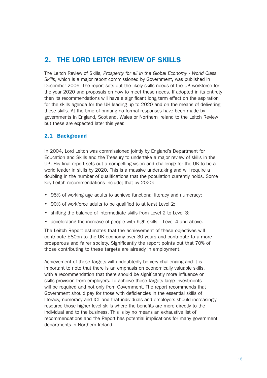## 2. THE LORD LEITCH REVIEW OF SKILLS

The Leitch Review of Skills, *Prosperity for all in the Global Economy* - *World Class Skills*, which is a major report commissioned by Government, was published in December 2006. The report sets out the likely skills needs of the UK workforce for the year 2020 and proposals on how to meet these needs. If adopted in its entirety then its recommendations will have a significant long term effect on the aspiration for the skills agenda for the UK leading up to 2020 and on the means of delivering these skills. At the time of printing no formal responses have been made by governments in England, Scotland, Wales or Northern Ireland to the Leitch Review but these are expected later this year.

#### 2.1 Background

In 2004, Lord Leitch was commissioned jointly by England's Department for Education and Skills and the Treasury to undertake a major review of skills in the UK. His final report sets out a compelling vision and challenge for the UK to be a world leader in skills by 2020. This is a massive undertaking and will require a doubling in the number of qualifications that the population currently holds. Some key Leitch recommendations include; that by 2020:

- 95% of working age adults to achieve functional literacy and numeracy;
- 90% of workforce adults to be qualified to at least Level 2;
- shifting the balance of intermediate skills from Level 2 to Level 3;
- accelerating the increase of people with high skills Level 4 and above.

The Leitch Report estimates that the achievement of these objectives will contribute £80bn to the UK economy over 30 years and contribute to a more prosperous and fairer society. Significantly the report points out that 70% of those contributing to these targets are already in employment.

Achievement of these targets will undoubtedly be very challenging and it is important to note that there is an emphasis on economically valuable skills, with a recommendation that there should be significantly more influence on skills provision from employers. To achieve these targets large investments will be required and not only from Government. The report recommends that Government should pay for those with deficiencies in the essential skills of literacy, numeracy and ICT and that individuals and employers should increasingly resource those higher level skills where the benefits are more directly to the individual and to the business. This is by no means an exhaustive list of recommendations and the Report has potential implications for many government departments in Northern Ireland.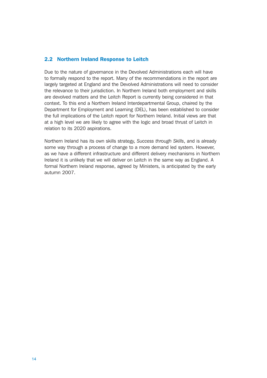#### 2.2 Northern Ireland Response to Leitch

Due to the nature of governance in the Devolved Administrations each will have to formally respond to the report. Many of the recommendations in the report are largely targeted at England and the Devolved Administrations will need to consider the relevance to their jurisdiction. In Northern Ireland both employment and skills are devolved matters and the Leitch Report is currently being considered in that context. To this end a Northern Ireland Interdepartmental Group, chaired by the Department for Employment and Learning (DEL), has been established to consider the full implications of the Leitch report for Northern Ireland. Initial views are that at a high level we are likely to agree with the logic and broad thrust of Leitch in relation to its 2020 aspirations.

Northern Ireland has its own skills strategy, *Success through Skills*, and is already some way through a process of change to a more demand led system. However, as we have a different infrastructure and different delivery mechanisms in Northern Ireland it is unlikely that we will deliver on Leitch in the same way as England. A formal Northern Ireland response, agreed by Ministers, is anticipated by the early autumn 2007.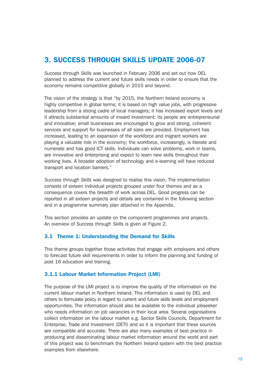## 3. SUCCESS THROUGH SKILLS UPDATE 2006-07

*Success through Skills* was launched in February 2006 and set out how DEL planned to address the current and future skills needs in order to ensure that the economy remains competitive globally in 2015 and beyond.

The vision of the strategy is that "by 2015, the Northern Ireland economy is highly competitive in global terms; it is based on high value jobs, with progressive leadership from a strong cadre of local managers; it has increased export levels and it attracts substantial amounts of inward investment; its people are entrepreneurial and innovative; small businesses are encouraged to grow and strong, coherent services and support for businesses of all sizes are provided. Employment has increased, leading to an expansion of the workforce and migrant workers are playing a valuable role in the economy; the workforce, increasingly, is literate and numerate and has good ICT skills. Individuals can solve problems, work in teams, are innovative and enterprising and expect to learn new skills throughout their working lives. A broader adoption of technology and e-learning will have reduced transport and location barriers."

*Success through Skills* was designed to realise this vision. The implementation consists of sixteen individual projects grouped under four themes and as a consequence covers the breadth of work across DEL. Good progress can be reported in all sixteen projects and details are contained in the following section and in a programme summary plan attached in the Appendix.

This section provides an update on the component programmes and projects. An overview of *Success through Skills* is given at Figure 2.

#### 3.1 Theme 1: Understanding the Demand for Skills

This theme groups together those activities that engage with employers and others to forecast future skill requirements in order to inform the planning and funding of post 16 education and training.

#### 3.1.1 Labour Market Information Project (LMI)

The purpose of the LMI project is to improve the quality of the information on the current labour market in Northern Ireland. This information is used by DEL and others to formulate policy in regard to current and future skills levels and employment opportunities. The information should also be available to the individual jobseeker who needs information on job vacancies in their local area. Several organisations collect information on the labour market e.g. Sector Skills Councils, Department for Enterprise, Trade and Investment (DETI) and so it is important that these sources are compatible and accurate. There are also many examples of best practice in producing and disseminating labour market information around the world and part of this project was to benchmark the Northern Ireland system with the best practice examples from elsewhere.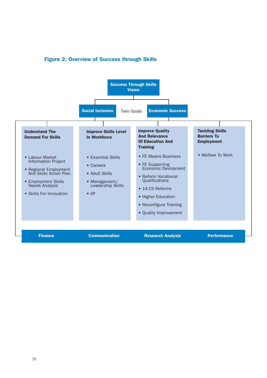

#### Figure 2: Overview of Success through Skills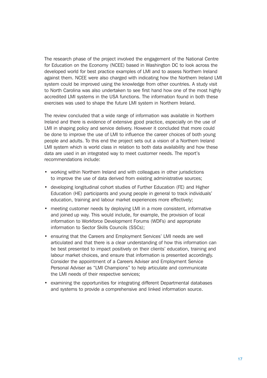The research phase of the project involved the engagement of the National Centre for Education on the Economy (NCEE) based in Washington DC to look across the developed world for best practice examples of LMI and to assess Northern Ireland against them. NCEE were also charged with indicating how the Northern Ireland LMI system could be improved using the knowledge from other countries. A study visit to North Carolina was also undertaken to see first hand how one of the most highly accredited LMI systems in the USA functions. The information found in both these exercises was used to shape the future LMI system in Northern Ireland.

The review concluded that a wide range of information was available in Northern Ireland and there is evidence of extensive good practice, especially on the use of LMI in shaping policy and service delivery. However it concluded that more could be done to improve the use of LMI to influence the career choices of both young people and adults. To this end the project sets out a vision of a Northern Ireland LMI system which is world class in relation to both data availability and how these data are used in an integrated way to meet customer needs. The report's recommendations include:

- working within Northern Ireland and with colleagues in other jurisdictions to improve the use of data derived from existing administrative sources;
- developing longitudinal cohort studies of Further Education (FE) and Higher Education (HE) participants and young people in general to track individuals' education, training and labour market experiences more effectively;
- meeting customer needs by deploying LMI in a more consistent, informative and joined up way. This would include, for example, the provision of local information to Workforce Development Forums (WDFs) and appropriate information to Sector Skills Councils (SSCs);
- ensuring that the Careers and Employment Services' LMI needs are well articulated and that there is a clear understanding of how this information can be best presented to impact positively on their clients' education, training and labour market choices, and ensure that information is presented accordingly. Consider the appointment of a Careers Adviser and Employment Service Personal Adviser as "LMI Champions" to help articulate and communicate the LMI needs of their respective services;
- examining the opportunities for integrating different Departmental databases and systems to provide a comprehensive and linked information source.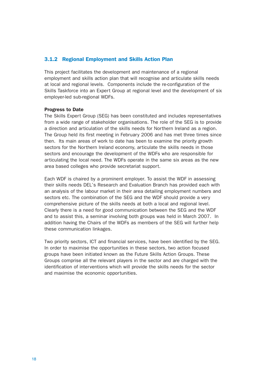#### 3.1.2 Regional Employment and Skills Action Plan

This project facilitates the development and maintenance of a regional employment and skills action plan that will recognise and articulate skills needs at local and regional levels. Components include the re-configuration of the Skills Taskforce into an Expert Group at regional level and the development of six employer-led sub-regional WDFs.

#### Progress to Date

The Skills Expert Group (SEG) has been constituted and includes representatives from a wide range of stakeholder organisations. The role of the SEG is to provide a direction and articulation of the skills needs for Northern Ireland as a region. The Group held its first meeting in February 2006 and has met three times since then. Its main areas of work to date has been to examine the priority growth sectors for the Northern Ireland economy, articulate the skills needs in those sectors and encourage the development of the WDFs who are responsible for articulating the local need. The WDFs operate in the same six areas as the new area based colleges who provide secretariat support.

Each WDF is chaired by a prominent employer. To assist the WDF in assessing their skills needs DEL's Research and Evaluation Branch has provided each with an analysis of the labour market in their area detailing employment numbers and sectors etc. The combination of the SEG and the WDF should provide a very comprehensive picture of the skills needs at both a local and regional level. Clearly there is a need for good communication between the SEG and the WDF and to assist this, a seminar involving both groups was held in March 2007. In addition having the Chairs of the WDFs as members of the SEG will further help these communication linkages.

Two priority sectors, ICT and financial services, have been identified by the SEG. In order to maximise the opportunities in these sectors, two action focused groups have been initiated known as the Future Skills Action Groups. These Groups comprise all the relevant players in the sector and are charged with the identification of interventions which will provide the skills needs for the sector and maximise the economic opportunities.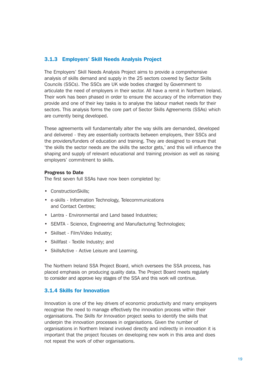#### 3.1.3 Employers' Skill Needs Analysis Project

The Employers' Skill Needs Analysis Project aims to provide a comprehensive analysis of skills demand and supply in the 25 sectors covered by Sector Skills Councils (SSCs). The SSCs are UK wide bodies charged by Government to articulate the need of employers in their sector. All have a remit in Northern Ireland. Their work has been phased in order to ensure the accuracy of the information they provide and one of their key tasks is to analyse the labour market needs for their sectors. This analysis forms the core part of Sector Skills Agreements (SSAs) which are currently being developed.

These agreements will fundamentally alter the way skills are demanded, developed and delivered - they are essentially contracts between employers, their SSCs and the providers/funders of education and training. They are designed to ensure that 'the skills the sector needs are the skills the sector gets,' and this will influence the shaping and supply of relevant educational and training provision as well as raising employers' commitment to skills.

#### Progress to Date

The first seven full SSAs have now been completed by:

- ConstructionSkills;
- e-skills Information Technology, Telecommunications and Contact Centres;
- Lantra Environmental and Land based Industries;
- SEMTA Science, Engineering and Manufacturing Technologies;
- Skillset Film/Video Industry;
- Skillfast Textile Industry; and
- SkillsActive Active Leisure and Learning.

The Northern Ireland SSA Project Board, which oversees the SSA process, has placed emphasis on producing quality data. The Project Board meets regularly to consider and approve key stages of the SSA and this work will continue.

#### 3.1.4 Skills for Innovation

Innovation is one of the key drivers of economic productivity and many employers recognise the need to manage effectively the innovation process within their organisations. The *Skills for Innovation* project seeks to identify the skills that underpin the innovation processes in organisations. Given the number of organisations in Northern Ireland involved directly and indirectly in innovation it is important that the project focuses on developing new work in this area and does not repeat the work of other organisations.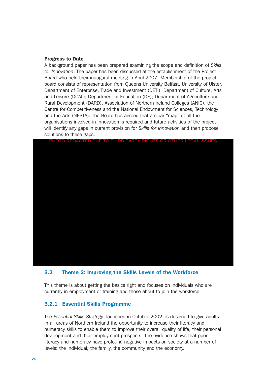#### Progress to Date

A background paper has been prepared examining the scope and definition of *Skills for Innovation*. The paper has been discussed at the establishment of the Project Board who held their inaugural meeting in April 2007. Membership of the project board consists of representation from Queens University Belfast, University of Ulster, Department of Enterprise, Trade and Investment (DETI); Department of Culture, Arts and Leisure (DCAL); Department of Education (DE); Department of Agriculture and Rural Development (DARD), Association of Northern Ireland Colleges (ANIC), the Centre for Competitiveness and the National Endowment for Sciences, Technology and the Arts (NESTA). The Board has agreed that a clear "map" of all the organisations involved in innovation is required and future activities of the project will identify any gaps in current provision for *Skills for Innovation* and then propose solutions to these gaps.



#### 3.2 Theme 2: Improving the Skills Levels of the Workforce

This theme is about getting the basics right and focuses on individuals who are currently in employment or training and those about to join the workforce.

#### 3.2.1 Essential Skills Programme

The *Essential Skills Strategy*, launched in October 2002, is designed to give adults in all areas of Northern Ireland the opportunity to increase their literacy and numeracy skills to enable them to improve their overall quality of life, their personal development and their employment prospects. The evidence shows that poor literacy and numeracy have profound negative impacts on society at a number of levels: the individual, the family, the community and the economy.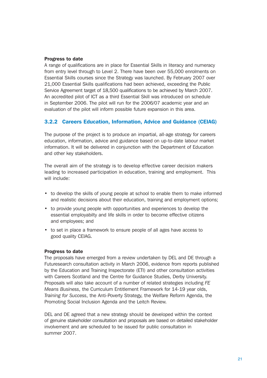#### Progress to date

A range of qualifications are in place for Essential Skills in literacy and numeracy from entry level through to Level 2. There have been over 55,000 enrolments on Essential Skills courses since the Strategy was launched. By February 2007 over 21,000 Essential Skills qualifications had been achieved, exceeding the Public Service Agreement target of 18,500 qualifications to be achieved by March 2007. An accredited pilot of ICT as a third Essential Skill was introduced on schedule in September 2006. The pilot will run for the 2006/07 academic year and an evaluation of the pilot will inform possible future expansion in this area.

#### 3.2.2 Careers Education, Information, Advice and Guidance (CEIAG)

The purpose of the project is to produce an impartial, all-age strategy for careers education, information, advice and guidance based on up-to-date labour market information. It will be delivered in conjunction with the Department of Education and other key stakeholders.

The overall aim of the strategy is to develop effective career decision makers leading to increased participation in education, training and employment. This will include:

- to develop the skills of young people at school to enable them to make informed and realistic decisions about their education, training and employment options;
- to provide young people with opportunities and experiences to develop the essential employabilty and life skills in order to become effective citizens and employees; and
- to set in place a framework to ensure people of all ages have access to good quality CEIAG.

#### Progress to date

The proposals have emerged from a review undertaken by DEL and DE through a Futuresearch consultation activity in March 2006, evidence from reports published by the Education and Training Inspectorate (ETI) and other consultation activities with Careers Scotland and the Centre for Guidance Studies, Derby University. Proposals will also take account of a number of related strategies including *FE Means Business*, the Curriculum Entitlement Framework for 14-19 year olds, *Training for Success*, the Anti-Poverty Strategy, the Welfare Reform Agenda, the Promoting Social Inclusion Agenda and the Leitch Review.

DEL and DE agreed that a new strategy should be developed within the context of genuine stakeholder consultation and proposals are based on detailed stakeholder involvement and are scheduled to be issued for public consultation in summer 2007.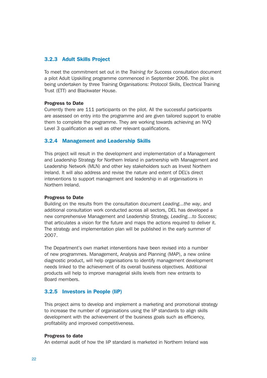#### 3.2.3 Adult Skills Project

To meet the commitment set out in the *Training for Success* consultation document a pilot Adult Upskilling programme commenced in September 2006. The pilot is being undertaken by three Training Organisations: Protocol Skills, Electrical Training Trust (ETT) and Blackwater House.

#### Progress to Date

Currently there are 111 participants on the pilot. All the successful participants are assessed on entry into the programme and are given tailored support to enable them to complete the programme. They are working towards achieving an NVQ Level 3 qualification as well as other relevant qualifications.

#### 3.2.4 Management and Leadership Skills

This project will result in the development and implementation of a Management and Leadership Strategy for Northern Ireland in partnership with Management and Leadership Network (MLN) and other key stakeholders such as Invest Northern Ireland. It will also address and revise the nature and extent of DEL's direct interventions to support management and leadership in all organisations in Northern Ireland.

#### Progress to Date

Building on the results from the consultation document *Leading...the way*, and additional consultation work conducted across all sectors, DEL has developed a new comprehensive Management and Leadership Strategy, *Leading…to Success*; that articulates a vision for the future and maps the actions required to deliver it. The strategy and implementation plan will be published in the early summer of 2007.

The Department's own market interventions have been revised into a number of new programmes. Management, Analysis and Planning (MAP), a new online diagnostic product, will help organisations to identify management development needs linked to the achievement of its overall business objectives. Additional products will help to improve managerial skills levels from new entrants to Board members.

#### 3.2.5 Investors in People (IiP)

This project aims to develop and implement a marketing and promotional strategy to increase the number of organisations using the IiP standards to align skills development with the achievement of the business goals such as efficiency, profitability and improved competitiveness.

#### Progress to date

An external audit of how the IiP standard is marketed in Northern Ireland was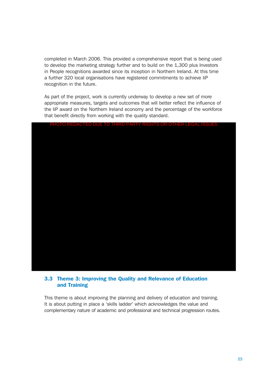completed in March 2006. This provided a comprehensive report that is being used to develop the marketing strategy further and to build on the 1,300 plus Investors in People recognitions awarded since its inception in Northern Ireland. At this time a further 320 local organisations have registered commitments to achieve IiP recognition in the future.

As part of the project, work is currently underway to develop a new set of more appropriate measures, targets and outcomes that will better reflect the influence of the IiP award on the Northern Ireland economy and the percentage of the workforce that benefit directly from working with the quality standard.



#### 3.3 Theme 3: Improving the Quality and Relevance of Education and Training

This theme is about improving the planning and delivery of education and training. It is about putting in place a 'skills ladder' which acknowledges the value and complementary nature of academic and professional and technical progression routes.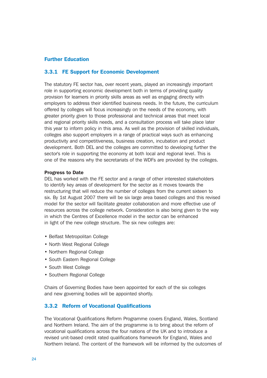#### Further Education

#### 3.3.1 FE Support for Economic Development

The statutory FE sector has, over recent years, played an increasingly important role in supporting economic development both in terms of providing quality provision for learners in priority skills areas as well as engaging directly with employers to address their identified business needs. In the future, the curriculum offered by colleges will focus increasingly on the needs of the economy, with greater priority given to those professional and technical areas that meet local and regional priority skills needs, and a consultation process will take place later this year to inform policy in this area. As well as the provision of skilled individuals, colleges also support employers in a range of practical ways such as enhancing productivity and competitiveness, business creation, incubation and product development. Both DEL and the colleges are committed to developing further the sector's role in supporting the economy at both local and regional level. This is one of the reasons why the secretariats of the WDFs are provided by the colleges.

#### Progress to Date

DEL has worked with the FE sector and a range of other interested stakeholders to identify key areas of development for the sector as it moves towards the restructuring that will reduce the number of colleges from the current sixteen to six. By 1st August 2007 there will be six large area based colleges and this revised model for the sector will facilitate greater collaboration and more effective use of resources across the college network. Consideration is also being given to the way in which the Centres of Excellence model in the sector can be enhanced in light of the new college structure. The six new colleges are:

- Belfast Metropolitan College
- North West Regional College
- Northern Regional College
- South Eastern Regional College
- South West College
- Southern Regional College

Chairs of Governing Bodies have been appointed for each of the six colleges and new governing bodies will be appointed shortly.

#### 3.3.2 Reform of Vocational Qualifications

The Vocational Qualifications Reform Programme covers England, Wales, Scotland and Northern Ireland. The aim of the programme is to bring about the reform of vocational qualifications across the four nations of the UK and to introduce a revised unit-based credit rated qualifications framework for England, Wales and Northern Ireland. The content of the framework will be informed by the outcomes of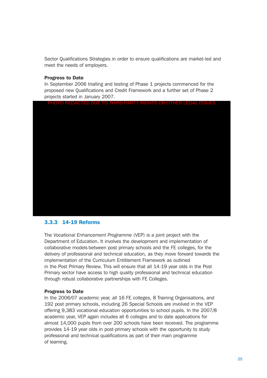Sector Qualifications Strategies in order to ensure qualifications are market-led and meet the needs of employers.

#### Progress to Date

In September 2006 trialling and testing of Phase 1 projects commenced for the proposed new Qualifications and Credit Framework and a further set of Phase 2 projects started in January 2007.

PHOTO REDACTED DUE TO THIRD PARTY RIGHTS OR OTHER LEGAL ISSUES



#### 3.3.3 14-19 Reforms

The *Vocational Enhancement Programme* (VEP) is a joint project with the Department of Education. It involves the development and implementation of collaborative models between post primary schools and the FE colleges, for the delivery of professional and technical education, as they move forward towards the implementation of the Curriculum Entitlement Framework as outlined in the Post Primary Review. This will ensure that all 14-19 year olds in the Post Primary sector have access to high quality professional and technical education through robust collaborative partnerships with FE Colleges.

#### Progress to Date

In the 2006/07 academic year, all 16 FE colleges, 8 Training Organisations, and 192 post primary schools, including 26 Special Schools are involved in the VEP offering 9,383 vocational education opportunities to school pupils. In the 2007/8 academic year, VEP again includes all 6 colleges and to date applications for almost 14,000 pupils from over 200 schools have been received. The programme provides 14-19 year olds in post-primary schools with the opportunity to study professional and technical qualifications as part of their main programme of learning.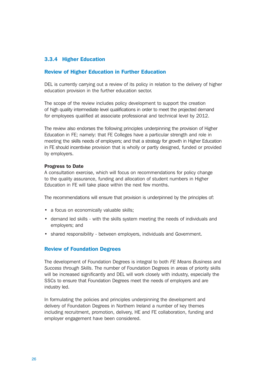#### 3.3.4 Higher Education

#### Review of Higher Education in Further Education

DEL is currently carrying out a review of its policy in relation to the delivery of higher education provision in the further education sector.

The scope of the review includes policy development to support the creation of high quality intermediate level qualifications in order to meet the projected demand for employees qualified at associate professional and technical level by 2012.

The review also endorses the following principles underpinning the provision of Higher Education in FE; namely: that FE Colleges have a particular strength and role in meeting the skills needs of employers; and that a strategy for growth in Higher Education in FE should incentivise provision that is wholly or partly designed, funded or provided by employers.

#### Progress to Date

A consultation exercise, which will focus on recommendations for policy change to the quality assurance, funding and allocation of student numbers in Higher Education in FE will take place within the next few months.

The recommendations will ensure that provision is underpinned by the principles of:

- a focus on economically valuable skills:
- demand led skills with the skills system meeting the needs of individuals and employers; and
- shared responsibility between employers, individuals and Government.

#### Review of Foundation Degrees

The development of Foundation Degrees is integral to both *FE Means Business* and *Success through Skills*. The number of Foundation Degrees in areas of priority skills will be increased significantly and DEL will work closely with industry, especially the SSCs to ensure that Foundation Degrees meet the needs of employers and are industry led.

In formulating the policies and principles underpinning the development and delivery of Foundation Degrees in Northern Ireland a number of key themes including recruitment, promotion, delivery, HE and FE collaboration, funding and employer engagement have been considered.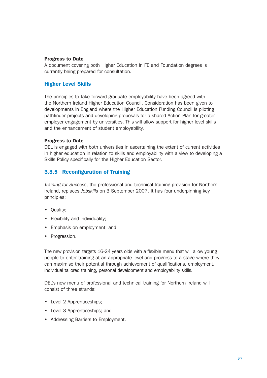#### Progress to Date

A document covering both Higher Education in FE and Foundation degrees is currently being prepared for consultation.

#### Higher Level Skills

The principles to take forward graduate employability have been agreed with the Northern Ireland Higher Education Council. Consideration has been given to developments in England where the Higher Education Funding Council is piloting pathfinder projects and developing proposals for a shared Action Plan for greater employer engagement by universities. This will allow support for higher level skills and the enhancement of student employability.

#### Progress to Date

DEL is engaged with both universities in ascertaining the extent of current activities in higher education in relation to skills and employability with a view to developing a Skills Policy specifically for the Higher Education Sector.

#### 3.3.5 Reconfiguration of Training

*Training for Success*, the professional and technical training provision for Northern Ireland, replaces *Jobskills* on 3 September 2007. It has four underpinning key principles:

- Quality;
- Flexibility and individuality;
- Emphasis on employment; and
- Progression.

The new provision targets 16-24 years olds with a flexible menu that will allow young people to enter training at an appropriate level and progress to a stage where they can maximise their potential through achievement of qualifications, employment, individual tailored training, personal development and employability skills.

DEL's new menu of professional and technical training for Northern Ireland will consist of three strands:

- Level 2 Apprenticeships;
- Level 3 Apprenticeships; and
- Addressing Barriers to Employment.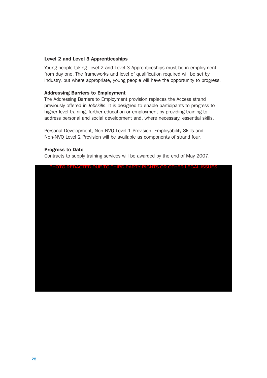#### Level 2 and Level 3 Apprenticeships

Young people taking Level 2 and Level 3 Apprenticeships must be in employment from day one. The frameworks and level of qualification required will be set by industry, but where appropriate, young people will have the opportunity to progress.

#### Addressing Barriers to Employment

The Addressing Barriers to Employment provision replaces the Access strand previously offered in *Jobskills*. It is designed to enable participants to progress to higher level training, further education or employment by providing training to address personal and social development and, where necessary, essential skills.

Personal Development, Non-NVQ Level 1 Provision, Employability Skills and Non-NVQ Level 2 Provision will be available as components of strand four.

#### Progress to Date

Contracts to supply training services will be awarded by the end of May 2007.

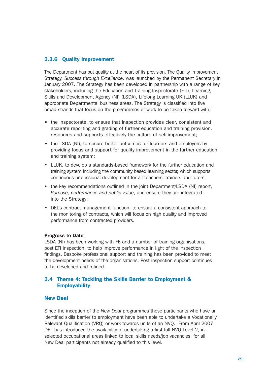#### 3.3.6 Quality Improvement

The Department has put quality at the heart of its provision. The Quality Improvement Strategy, *Success through Excellence,* was launched by the Permanent Secretary in January 2007. The Strategy has been developed in partnership with a range of key stakeholders, including the Education and Training Inspectorate (ETI), Learning, Skills and Development Agency (NI) (LSDA), Lifelong Learning UK (LLUK) and appropriate Departmental business areas. The Strategy is classified into five broad strands that focus on the programmes of work to be taken forward with:

- the Inspectorate, to ensure that inspection provides clear, consistent and accurate reporting and grading of further education and training provision, resources and supports effectively the culture of self-improvement;
- the LSDA (NI), to secure better outcomes for learners and employers by providing focus and support for quality improvement in the further education and training system;
- LLUK, to develop a standards-based framework for the further education and training system including the community based learning sector, which supports continuous professional development for all teachers, trainers and tutors;
- the key recommendations outlined in the joint Department/LSDA (NI) report, *Purpose, performance and public value*, and ensure they are integrated into the Strategy;
- DEL's contract management function, to ensure a consistent approach to the monitoring of contracts, which will focus on high quality and improved performance from contracted providers.

#### Progress to Date

LSDA (NI) has been working with FE and a number of training organisations, post ETI inspection, to help improve performance in light of the inspection findings. Bespoke professional support and training has been provided to meet the development needs of the organisations. Post inspection support continues to be developed and refined.

#### 3.4 Theme 4: Tackling the Skills Barrier to Employment & **Employability**

#### New Deal

Since the inception of the *New Deal* programmes those participants who have an identified skills barrier to employment have been able to undertake a Vocationally Relevant Qualification (VRQ) or work towards units of an NVQ. From April 2007 DEL has introduced the availability of undertaking a first full NVQ Level 2, in selected occupational areas linked to local skills needs/job vacancies, for all New Deal participants not already qualified to this level.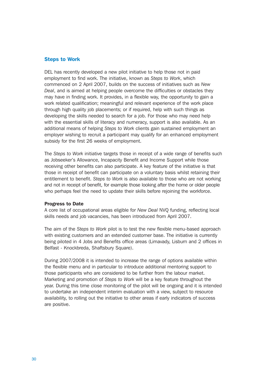#### Steps to Work

DEL has recently developed a new pilot initiative to help those not in paid employment to find work. The initiative, known as *Steps to Work*, which commenced on 2 April 2007, builds on the success of initiatives such as *New Deal*, and is aimed at helping people overcome the difficulties or obstacles they may have in finding work. It provides, in a flexible way, the opportunity to gain a work related qualification; meaningful and relevant experience of the work place through high quality job placements; or if required, help with such things as developing the skills needed to search for a job. For those who may need help with the essential skills of literacy and numeracy, support is also available. As an additional means of helping *Steps to Work* clients gain sustained employment an employer wishing to recruit a participant may qualify for an enhanced employment subsidy for the first 26 weeks of employment.

The *Steps to Work* initiative targets those in receipt of a wide range of benefits such as Jobseeker's Allowance, Incapacity Benefit and Income Support while those receiving other benefits can also participate. A key feature of the initiative is that those in receipt of benefit can participate on a voluntary basis whilst retaining their entitlement to benefit. *Steps to Work* is also available to those who are not working and not in receipt of benefit, for example those looking after the home or older people who perhaps feel the need to update their skills before rejoining the workforce.

#### Progress to Date

A core list of occupational areas eligible for *New Deal* NVQ funding, reflecting local skills needs and job vacancies, has been introduced from April 2007.

The aim of the *Steps to Work* pilot is to test the new flexible menu-based approach with existing customers and an extended customer base. The initiative is currently being piloted in 4 Jobs and Benefits office areas (Limavady, Lisburn and 2 offices in Belfast - Knockbreda, Shaftsbury Square).

During 2007/2008 it is intended to increase the range of options available within the flexible menu and in particular to introduce additional mentoring support to those participants who are considered to be further from the labour market. Marketing and promotion of *Steps to Work* will be a key feature throughout the year. During this time close monitoring of the pilot will be ongoing and it is intended to undertake an independent interim evaluation with a view, subject to resource availability, to rolling out the initiative to other areas if early indicators of success are positive.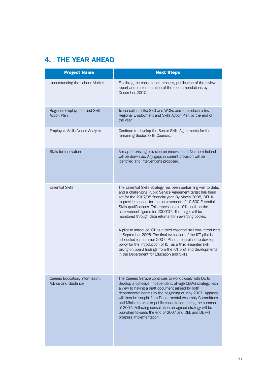## 4. THE YEAR AHEAD

| <b>Project Name</b>                                           | <b>Next Steps</b>                                                                                                                                                                                                                                                                                                                                                                                                                                                                                                           |
|---------------------------------------------------------------|-----------------------------------------------------------------------------------------------------------------------------------------------------------------------------------------------------------------------------------------------------------------------------------------------------------------------------------------------------------------------------------------------------------------------------------------------------------------------------------------------------------------------------|
| Understanding the Labour Market                               | Finalising the consultation process, publication of the review<br>report and implementation of the recommendations by<br>December 2007.                                                                                                                                                                                                                                                                                                                                                                                     |
| Regional Employment and Skills<br><b>Action Plan</b>          | To consolidate the SEG and WDFs and to produce a first<br>Regional Employment and Skills Action Plan by the end of<br>the year.                                                                                                                                                                                                                                                                                                                                                                                             |
| <b>Employers Skills Needs Analysis</b>                        | Continue to develop the Sector Skills Agreements for the<br>remaining Sector Skills Councils.                                                                                                                                                                                                                                                                                                                                                                                                                               |
| <b>Skills for Innovation</b>                                  | A map of existing provision on innovation in Northern Ireland<br>will be drawn up. Any gaps in current provision will be<br>identified and interventions proposed.                                                                                                                                                                                                                                                                                                                                                          |
| <b>Essential Skills</b>                                       | The Essential Skills Strategy has been performing well to date,<br>and a challenging Public Service Agreement target has been<br>set for the 2007/08 financial year. By March 2008, DEL is<br>to provide support for the achievement of 10,500 Essential<br>Skills qualifications. This represents a 10% uplift on the<br>achievement figures for 2006/07. The target will be<br>monitored through data returns from awarding bodies.                                                                                       |
|                                                               | A pilot to introduce ICT as a third essential skill was introduced<br>in September 2006. The final evaluation of the ICT pilot is<br>scheduled for summer 2007. Plans are in place to develop<br>policy for the introduction of ICT as a third essential skill,<br>taking on board findings from the ICT pilot and developments<br>in the Department for Education and Skills.                                                                                                                                              |
| Careers Education, Information,<br><b>Advice and Guidance</b> | The Careers Service continues to work closely with DE to<br>develop a cohesive, independent, all-age CEIAG strategy, with<br>a view to having a draft document agreed by both<br>departmental boards by the beginning of May 2007. Approval<br>will then be sought from Departmental Assembly Committees<br>and Ministers prior to public consultation during the summer<br>of 2007. Following consultation an agreed strategy will be<br>published towards the end of 2007 and DEL and DE will<br>progress implementation. |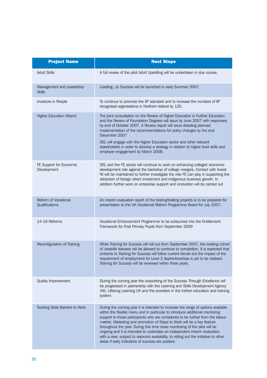| <b>Project Name</b>                        | <b>Next Steps</b>                                                                                                                                                                                                                                                                                                                                                                                                                                                                                                                                                                                                                       |
|--------------------------------------------|-----------------------------------------------------------------------------------------------------------------------------------------------------------------------------------------------------------------------------------------------------------------------------------------------------------------------------------------------------------------------------------------------------------------------------------------------------------------------------------------------------------------------------------------------------------------------------------------------------------------------------------------|
| <b>Adult Skills</b>                        | A full review of the pilot Adult Upskilling will be undertaken in due course.                                                                                                                                                                                                                                                                                                                                                                                                                                                                                                                                                           |
| Management and Leadership<br><b>Skills</b> | Leadingto Success will be launched in early Summer 2007.                                                                                                                                                                                                                                                                                                                                                                                                                                                                                                                                                                                |
| Investors in People                        | To continue to promote the liP standard and to increase the numbers of liP<br>recognised organisations in Northern Ireland by 120.                                                                                                                                                                                                                                                                                                                                                                                                                                                                                                      |
| <b>Higher Education Strand</b>             | The joint consultation on the Review of Higher Education in Further Education<br>and the Review of Foundation Degrees will issue by June 2007 with responses<br>by end of October 2007. A Review report will issue detailing planned<br>implementation of the recommendations for policy changes by the end<br>December 2007<br>DEL will engage with the Higher Education sector and other relevant                                                                                                                                                                                                                                     |
|                                            | stakeholders in order to develop a strategy in relation to higher level skills and<br>employer engagement by March 2008.                                                                                                                                                                                                                                                                                                                                                                                                                                                                                                                |
| FE Support for Economic<br>Development     | DEL and the FE sector will continue to work on enhancing colleges' economic<br>development role against the backdrop of college mergers. Contact with Invest<br>NI will be maintained to further investigate the role FE can play in supporting the<br>attraction of foreign direct investment and indigenous business growth. In<br>addition further work on enterprise support and innovation will be carried out                                                                                                                                                                                                                     |
| Reform of Vocational<br>Qualifications     | An interim evaluation report of the testing/trialling projects is to be prepared for<br>presentation to the UK Vocational Reform Programme Board for July 2007.                                                                                                                                                                                                                                                                                                                                                                                                                                                                         |
| 14-19 Reforms                              | Vocational Enhancement Programme to be subsumed into the Entitlement<br>Framework for Post Primary Pupils from September 2009                                                                                                                                                                                                                                                                                                                                                                                                                                                                                                           |
| Reconfiguration of Training                | While Training for Success will roll out from September 2007, the existing cohort<br>of Jobskills trainees will be allowed to continue to completion. It is expected that<br>entrants to Training for Success will follow current trends but the impact of the<br>requirement of employment for Level 2 Apprenticeships is yet to be realised.<br>Training for Success will be reviewed within three years.                                                                                                                                                                                                                             |
| Quality Improvement                        | During the coming year the outworking of the Success Through Excellence will<br>be progressed in partnership with the Learning and Skills Development Agency<br>(NI), Lifelong Learning UK and the providers in the further education and training<br>system.                                                                                                                                                                                                                                                                                                                                                                           |
| <b>Tackling Skills Barriers to Work</b>    | During the coming year it is intended to increase the range of options available<br>within the flexible menu and in particular to introduce additional mentoring<br>support to those participants who are considered to be further from the labour<br>market. Marketing and promotion of Steps to Work will be a key feature<br>throughout the year. During this time close monitoring of the pilot will be<br>ongoing and it is intended to undertake an independent interim evaluation<br>with a view, subject to resource availability, to rolling out the initiative to other<br>areas if early indicators of success are positive. |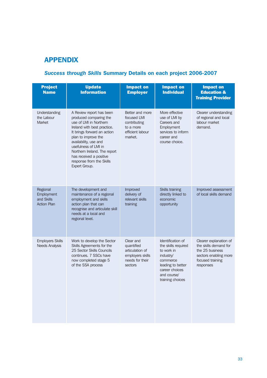## APPENDIX

## *Success through Skills* Summary Details on each project 2006-2007

| <b>Project</b><br><b>Name</b>                              | <b>Update</b><br><b>Information</b>                                                                                                                                                                                                                                                                                        | <b>Impact on</b><br><b>Employer</b>                                                          | <b>Impact on</b><br><b>Individual</b>                                                                                                                     | <b>Impact on</b><br><b>Education &amp;</b><br><b>Training Provider</b>                                                       |
|------------------------------------------------------------|----------------------------------------------------------------------------------------------------------------------------------------------------------------------------------------------------------------------------------------------------------------------------------------------------------------------------|----------------------------------------------------------------------------------------------|-----------------------------------------------------------------------------------------------------------------------------------------------------------|------------------------------------------------------------------------------------------------------------------------------|
| Understanding<br>the Labour<br>Market                      | A Review report has been<br>produced comparing the<br>use of LMI in Northern<br>Ireland with best practice.<br>It brings forward an action<br>plan to improve the<br>availability, use and<br>usefulness of LMI in<br>Northern Ireland. The report<br>has received a positive<br>response from the Skills<br>Expert Group. | Better and more<br>focused LMI<br>contributing<br>to a more<br>efficient labour<br>market.   | More effective<br>use of LMI by<br>Careers and<br>Employment<br>services to inform<br>career and<br>course choice.                                        | Clearer understanding<br>of regional and local<br>labour market<br>demand.                                                   |
| Regional<br>Employment<br>and Skills<br><b>Action Plan</b> | The development and<br>maintenance of a regional<br>employment and skills<br>action plan that can<br>recognise and articulate skill<br>needs at a local and<br>regional level.                                                                                                                                             | Improved<br>delivery of<br>relevant skills<br>training                                       | Skills training<br>directly linked to<br>economic<br>opportunity                                                                                          | Improved assessment<br>of local skills demand                                                                                |
| <b>Employers Skills</b><br><b>Needs Analysis</b>           | Work to develop the Sector<br>Skills Agreements for the<br>25 Sector Skills Councils<br>continues, 7 SSCs have<br>now completed stage 5<br>of the SSA process                                                                                                                                                              | Clear and<br>quantified<br>articulation of<br>employers skills<br>needs for their<br>sectors | Identification of<br>the skills required<br>to work in<br>industry/<br>commerce<br>leading to better<br>career choices<br>and course/<br>training choices | Clearer explanation of<br>the skills demand for<br>the 25 business<br>sectors enabling more<br>focused training<br>responses |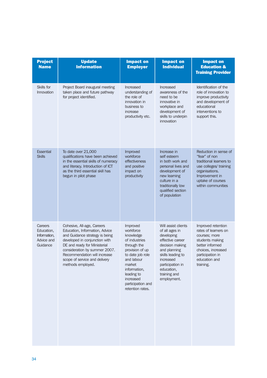| <b>Project</b><br><b>Name</b>                                   | <b>Update</b><br><b>Information</b>                                                                                                                                                                                                                                                    | <b>Impact on</b><br><b>Employer</b>                                                                                                                                                                                   | <b>Impact on</b><br><b>Individual</b>                                                                                                                                                                         | <b>Impact on</b><br><b>Education &amp;</b><br><b>Training Provider</b>                                                                                                     |
|-----------------------------------------------------------------|----------------------------------------------------------------------------------------------------------------------------------------------------------------------------------------------------------------------------------------------------------------------------------------|-----------------------------------------------------------------------------------------------------------------------------------------------------------------------------------------------------------------------|---------------------------------------------------------------------------------------------------------------------------------------------------------------------------------------------------------------|----------------------------------------------------------------------------------------------------------------------------------------------------------------------------|
| Skills for<br>Innovation                                        | Project Board inaugural meeting<br>taken place and future pathway<br>for project identified.                                                                                                                                                                                           | Increased<br>understanding of<br>the role of<br>innovation in<br>business to<br>increase<br>productivity etc.                                                                                                         | Increased<br>awareness of the<br>need to be<br>innovative in<br>workplace and<br>development of<br>skills to underpin<br>innovation                                                                           | Identification of the<br>role of innovation to<br>improve productivity<br>and development of<br>educational<br>interventions to<br>support this.                           |
| <b>Essential</b><br><b>Skills</b>                               | To date over 21,000<br>qualifications have been achieved<br>in the essential skills of numeracy<br>and literacy. Introduction of ICT<br>as the third essential skill has<br>begun in pilot phase                                                                                       | Improved<br>workforce<br>effectiveness<br>and positive<br>impact on<br>productivity                                                                                                                                   | Increase in<br>self esteem<br>in both work and<br>personal lives and<br>development of<br>new learning<br>culture in a<br>traditionally low<br>qualified section<br>of population                             | Reduction in sense of<br>"fear" of non<br>traditional learners to<br>use colleges/ training<br>organisations.<br>Improvement in<br>uptake of courses<br>within communities |
| Careers<br>Education,<br>Information.<br>Advice and<br>Guidance | Cohesive, All-age, Careers<br>Education, Information, Advice<br>and Guidance strategy is being<br>developed in conjunction with<br>DE and ready for Ministerial<br>consideration by summer 2007.<br>Recommendation will increase<br>scope of service and delivery<br>methods employed. | Improved<br>workforce<br>knowledge<br>of industries<br>through the<br>provision of up<br>to date job role<br>and labour<br>market<br>information,<br>leading to<br>increased<br>participation and<br>retention rates. | Will assist clients<br>of all ages in<br>developing<br>effective career<br>decision making<br>and planning<br>skills leading to<br>increased<br>participation in<br>education,<br>training and<br>employment. | Improved retention<br>rates of learners on<br>courses; more<br>students making<br>better informed<br>choices, increased<br>participation in<br>education and<br>training.  |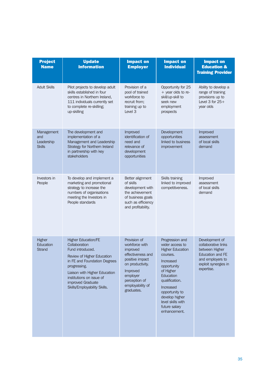| <b>Project</b><br><b>Name</b>                    | <b>Update</b><br><b>Information</b>                                                                                                                                                                                                                             | <b>Impact on</b><br><b>Employer</b>                                                                                                                                               | <b>Impact on</b><br><b>Individual</b>                                                                                                                                                                                                                    | <b>Impact on</b><br><b>Education &amp;</b><br><b>Training Provider</b>                                                                       |
|--------------------------------------------------|-----------------------------------------------------------------------------------------------------------------------------------------------------------------------------------------------------------------------------------------------------------------|-----------------------------------------------------------------------------------------------------------------------------------------------------------------------------------|----------------------------------------------------------------------------------------------------------------------------------------------------------------------------------------------------------------------------------------------------------|----------------------------------------------------------------------------------------------------------------------------------------------|
| <b>Adult Skills</b>                              | Pilot projects to develop adult<br>skills established in four<br>centres in Northern Ireland,<br>111 individuals currently set<br>to complete re-skilling;<br>up-skilling                                                                                       | Provision of a<br>pool of trained<br>workforce to<br>recruit from;<br>training up to<br>Level 3                                                                                   | Opportunity for 25<br>+ year olds to re-<br>skill/up-skill to<br>seek new<br>employment<br>prospects                                                                                                                                                     | Ability to develop a<br>range of training<br>provisions up to<br>Level $3$ for $25+$<br>year olds                                            |
| Management<br>and<br>Leadership<br><b>Skills</b> | The development and<br>implementation of a<br>Management and Leadership<br>Strategy for Northern Ireland<br>in partnership with key<br>stakeholders                                                                                                             | Improved<br>identification of<br>need and<br>relevance of<br>development<br>opportunities                                                                                         | Development<br>opportunities<br>linked to business<br>improvement                                                                                                                                                                                        | Improved<br>assessment<br>of local skills<br>demand                                                                                          |
| Investors in<br>People                           | To develop and implement a<br>marketing and promotional<br>strategy to increase the<br>numbers of organisations<br>meeting the Investors in<br>People standards                                                                                                 | Better alignment<br>of skills<br>development with<br>the achievement<br>of business goals<br>such as efficiency<br>and profitability.                                             | Skills training<br>linked to improved<br>competitiveness.                                                                                                                                                                                                | Improved<br>assessment<br>of local skills<br>demand                                                                                          |
| Higher<br>Education<br><b>Strand</b>             | <b>Higher Education/FE</b><br>Collaboration<br>Fund introduced.<br>Review of Higher Education<br>in FE and Foundation Degrees<br>progressing.<br>Liaison with Higher Education<br>institutions on issue of<br>improved Graduate<br>Skills/Employability Skills. | Provision of<br>workforce with<br>improved<br>effectiveness and<br>positive impact<br>on productivity.<br>Improved<br>employer<br>perception of<br>employability of<br>graduates. | Progression and<br>wider access to<br><b>Higher Education</b><br>courses.<br>Increased<br>opportunity<br>of Higher<br>Education<br>qualification.<br>Increased<br>opportunity to<br>develop higher<br>level skills with<br>future salary<br>enhancement. | Development of<br>collaborative links<br>between Higher<br><b>Education and FE</b><br>and employers to<br>exploit synergies in<br>expertise. |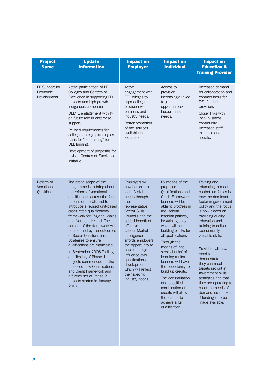| <b>Project</b><br><b>Name</b>             | <b>Update</b><br><b>Information</b>                                                                                                                                                                                                                                                                                                                                                                                                                                                                                                                                                                                                                       | <b>Impact on</b><br><b>Employer</b>                                                                                                                                                                                                                                                                                                                                                           | <b>Impact on</b><br><b>Individual</b>                                                                                                                                                                                                                                                                                                                                                                                                                                                                                      | <b>Impact on</b><br><b>Education &amp;</b><br><b>Training Provider</b>                                                                                                                                                                                                                                                                                                                                                                                                                                   |
|-------------------------------------------|-----------------------------------------------------------------------------------------------------------------------------------------------------------------------------------------------------------------------------------------------------------------------------------------------------------------------------------------------------------------------------------------------------------------------------------------------------------------------------------------------------------------------------------------------------------------------------------------------------------------------------------------------------------|-----------------------------------------------------------------------------------------------------------------------------------------------------------------------------------------------------------------------------------------------------------------------------------------------------------------------------------------------------------------------------------------------|----------------------------------------------------------------------------------------------------------------------------------------------------------------------------------------------------------------------------------------------------------------------------------------------------------------------------------------------------------------------------------------------------------------------------------------------------------------------------------------------------------------------------|----------------------------------------------------------------------------------------------------------------------------------------------------------------------------------------------------------------------------------------------------------------------------------------------------------------------------------------------------------------------------------------------------------------------------------------------------------------------------------------------------------|
| FE Support for<br>Economic<br>Development | Active participation of FE<br>Colleges and Centres of<br>Excellence in supporting FDI<br>projects and high growth<br>indigenous companies.<br>DEL/FE engagement with INI<br>on future role in enterprise<br>support.<br>Revised requirements for<br>college strategic planning as<br>basis for "contracting" for<br>DEL funding.<br>Development of proposals for<br>revised Centres of Excellence<br>initiative.                                                                                                                                                                                                                                          | Active<br>engagement with<br>FE Colleges to<br>align college<br>provision with<br>business and<br>industry needs.<br>Better promotion<br>of the services<br>available in<br>FE sector.                                                                                                                                                                                                        | Access to<br>provision<br>increasingly linked<br>to job<br>opportunities/<br>labour market<br>needs.                                                                                                                                                                                                                                                                                                                                                                                                                       | Increased demand<br>for collaboration and<br>contract basis for<br><b>DEL</b> funded<br>provision.<br>Closer links with<br>local business<br>community.<br>Increased staff<br>expertise and<br>morale.                                                                                                                                                                                                                                                                                                   |
| Reform of<br>Vocational<br>Qualifications | The broad scope of the<br>programme is to bring about<br>the reform of vocational<br>qualifications across the four<br>nations of the UK and to<br>introduce a revised unit-based<br>credit rated qualifications<br>framework for England, Wales<br>and Northern Ireland. The<br>content of the framework will<br>be informed by the outcomes<br>of Sector Qualifications<br>Strategies to ensure<br>qualifications are market-led.<br>In September 2006 Trialling<br>and Testing of Phase 1<br>projects commenced for the<br>proposed new Qualifications<br>and Credit Framework and<br>a further set of Phase 2<br>projects started in January<br>2007. | Employers will<br>now be able to<br>identify skill<br>needs through<br>their<br>representative<br><b>Sector Skills</b><br>Councils and the<br>added benefit of<br>effective<br><b>Labour Market</b><br>Intelligence<br>affords employers<br>the opportunity to<br>have strategic<br>influence over<br>qualifications<br>development<br>which will reflect<br>their specific<br>industry needs | By means of the<br>proposed<br>Qualifications and<br><b>Credit Framework</b><br>learners will be<br>able to progress in<br>the lifelong<br>learning pathway<br>by gaining units<br>which will be<br>building blocks for<br>all qualifications<br>Through the<br>means of 'bite<br>sized chunks' of<br>learning (units)<br>learners will have<br>the opportunity to<br>build up credits.<br>The accumulation<br>of a specified<br>combination of<br>credits will allow<br>the learner to<br>achieve a full<br>qualification | Training and<br>educating to meet<br>market-led forces is<br>now the dominant<br>factor in government<br>policy and the focus<br>is now placed on<br>providing quality<br>education and<br>training to deliver<br>economically<br>valuable skills.<br>Providers will now<br>need to<br>demonstrate that<br>they can meet<br>targets set out in<br>government skills<br>strategies and that<br>they are operating to<br>meet the needs of<br>demand led markets<br>if funding is to be<br>made available. |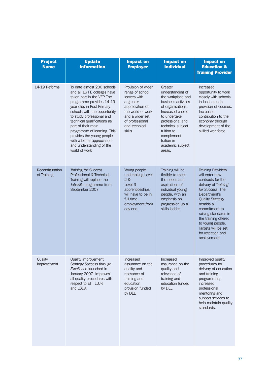| <b>Project</b><br><b>Name</b>  | <b>Update</b><br><b>Information</b>                                                                                                                                                                                                                                                                                                                                                                       | <b>Impact on</b><br><b>Employer</b>                                                                                                                                         | <b>Impact on</b><br><b>Individual</b>                                                                                                                                                                                                             | <b>Impact on</b><br><b>Education &amp;</b><br><b>Training Provider</b>                                                                                                                                                                                                                                               |
|--------------------------------|-----------------------------------------------------------------------------------------------------------------------------------------------------------------------------------------------------------------------------------------------------------------------------------------------------------------------------------------------------------------------------------------------------------|-----------------------------------------------------------------------------------------------------------------------------------------------------------------------------|---------------------------------------------------------------------------------------------------------------------------------------------------------------------------------------------------------------------------------------------------|----------------------------------------------------------------------------------------------------------------------------------------------------------------------------------------------------------------------------------------------------------------------------------------------------------------------|
| 14-19 Reforms                  | To date almost 200 schools<br>and all 16 FE colleges have<br>taken part in the VEP. The<br>programme provides 14-19<br>year olds in Post Primary<br>schools with the opportunity<br>to study professional and<br>technical qualifications as<br>part of their main<br>programme of learning. This<br>provides the young people<br>with a better appreciation<br>and understanding of the<br>world of work | Provision of wider<br>range of school<br>leavers with<br>a greater<br>appreciation of<br>the world of work<br>and a wider set<br>of professional<br>and technical<br>skills | Greater<br>understanding of<br>the workplace and<br>business activities<br>of organisations.<br>Increased choice<br>to undertake<br>professional and<br>technical subject<br>tuition to<br>complement<br>tuition in<br>academic subject<br>areas. | Increased<br>opportunity to work<br>closely with schools<br>in local area in<br>provision of courses.<br>Increased<br>contribution to the<br>economy through<br>development of the<br>skilled workforce.                                                                                                             |
| Reconfiguration<br>of Training | <b>Training for Success</b><br>Professional & Technical<br>Training will replace the<br>Jobskills programme from<br>September 2007                                                                                                                                                                                                                                                                        | Young people<br>undertaking Level<br>2 &<br>Level 3<br>apprenticeships<br>will have to be in<br>full time<br>employment from<br>day one.                                    | Training will be<br>flexible to meet<br>the needs and<br>aspirations of<br>individual young<br>people, with an<br>emphasis on<br>progression up a<br>skills ladder.                                                                               | <b>Training Providers</b><br>will enter new<br>contracts for the<br>delivery of Training<br>for Success. The<br>Department's<br><b>Quality Strategy</b><br>heralds a<br>commitment to<br>raising standards in<br>the training offered<br>to young people.<br>Targets will be set<br>for retention and<br>achievement |
| Quality<br>Improvement         | Quality Improvement<br><b>Strategy Success through</b><br>Excellence launched in<br>January 2007. Improves<br>all quality procedures with<br>respect to ETI, LLUK<br>and LSDA                                                                                                                                                                                                                             | Increased<br>assurance on the<br>quality and<br>relevance of<br>training and<br>education<br>provision funded<br>by DEL                                                     | Increased<br>assurance on the<br>quality and<br>relevance of<br>training and<br>education funded<br>by DEL                                                                                                                                        | Improved quality<br>procedures for<br>delivery of education<br>and training<br>programmes;<br>increased<br>professional<br>mentoring and<br>support services to<br>help maintain quality<br>standards.                                                                                                               |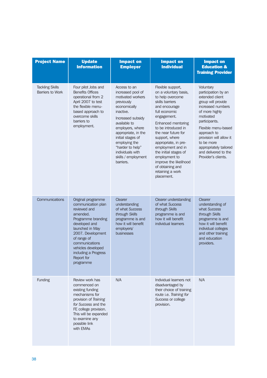| <b>Project Name</b>                               | <b>Update</b><br><b>Information</b>                                                                                                                                                                                                                           | <b>Impact on</b><br><b>Employer</b>                                                                                                                                                                                                                                                                 | <b>Impact on</b><br><b>Individual</b>                                                                                                                                                                                                                                                                                                                                                           | <b>Impact on</b><br><b>Education &amp;</b><br><b>Training Provider</b>                                                                                                                                                                                                                                 |
|---------------------------------------------------|---------------------------------------------------------------------------------------------------------------------------------------------------------------------------------------------------------------------------------------------------------------|-----------------------------------------------------------------------------------------------------------------------------------------------------------------------------------------------------------------------------------------------------------------------------------------------------|-------------------------------------------------------------------------------------------------------------------------------------------------------------------------------------------------------------------------------------------------------------------------------------------------------------------------------------------------------------------------------------------------|--------------------------------------------------------------------------------------------------------------------------------------------------------------------------------------------------------------------------------------------------------------------------------------------------------|
| <b>Tackling Skills</b><br><b>Barriers to Work</b> | Four pilot Jobs and<br><b>Benefits Offices</b><br>operational from 2<br>April 2007 to test<br>the flexible menu-<br>based approach to<br>overcome skills<br>barriers to<br>employment.                                                                        | Access to an<br>increased pool of<br>motivated workers<br>previously<br>economically<br>inactive.<br>Increased subsidy<br>available to<br>employers, where<br>appropriate, in the<br>initial stages of<br>employing the<br>"harder to help"<br>individuals with<br>skills / employment<br>barriers. | Flexible support,<br>on a voluntary basis,<br>to help overcome<br>skills barriers<br>and encourage<br>full economic<br>engagement.<br>Enhanced mentoring<br>to be introduced in<br>the near future for<br>support, where<br>appropriate, in pre-<br>employment and in<br>the initial stages of<br>employment to<br>improve the likelihood<br>of obtaining and<br>retaining a work<br>placement. | Voluntary<br>participation by an<br>extended client<br>group will provide<br>increased numbers<br>of more highly<br>motivated<br>participants.<br>Flexible menu-based<br>approach to<br>provision will allow it<br>to be more<br>appropriately tailored<br>and delivered to the<br>Provider's clients. |
| Communications                                    | Original programme<br>communication plan<br>reviewed and<br>amended.<br>Programme branding<br>developed and<br>launched in May<br>2007. Development<br>of range of<br>communications<br>vehicles developed<br>including a Progress<br>Report for<br>programme | <b>Clearer</b><br>understanding<br>of what Success<br>through Skills<br>programme is and<br>how it will benefit<br>employers/<br>businesses                                                                                                                                                         | Clearer understanding<br>of what Success<br>through Skills<br>programme is and<br>how it will benefit<br>individual learners                                                                                                                                                                                                                                                                    | Clearer<br>understanding of<br>what Success<br>through Skills<br>programme is and<br>how it will benefit<br>individual colleges<br>and other training<br>and education<br>providers.                                                                                                                   |
| Funding                                           | Review work has<br>commenced on<br>existing funding<br>mechanisms for<br>provision of Training<br>for Success and the<br>FE college provision.<br>This will be expanded<br>to examine any<br>possible link<br>with EMAs                                       | N/A                                                                                                                                                                                                                                                                                                 | Individual learners not<br>disadvantaged by<br>their choice of training<br>route i.e. Training for<br>Success or college<br>provision.                                                                                                                                                                                                                                                          | N/A                                                                                                                                                                                                                                                                                                    |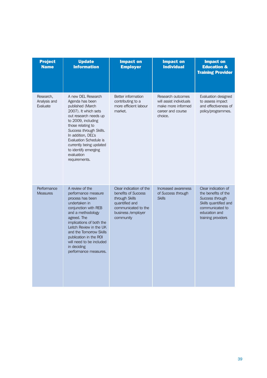| <b>Project</b><br><b>Name</b>         | <b>Update</b><br><b>Information</b>                                                                                                                                                                                                                                                                                       | <b>Impact on</b><br><b>Employer</b>                                                                                                          | <b>Impact on</b><br><b>Individual</b>                                                              | <b>Impact on</b><br><b>Education &amp;</b><br><b>Training Provider</b>                                                                           |
|---------------------------------------|---------------------------------------------------------------------------------------------------------------------------------------------------------------------------------------------------------------------------------------------------------------------------------------------------------------------------|----------------------------------------------------------------------------------------------------------------------------------------------|----------------------------------------------------------------------------------------------------|--------------------------------------------------------------------------------------------------------------------------------------------------|
| Research,<br>Analysis and<br>Evaluate | A new DEL Research<br>Agenda has been<br>published (March<br>2007). It which sets<br>out research needs up<br>to 2009, including<br>those relating to<br>Success through Skills.<br>In addition, DEL's<br><b>Evaluation Schedule is</b><br>currently being updated<br>to identify emerging<br>evaluation<br>requirements. | Better information<br>contributing to a<br>more efficient labour<br>market.                                                                  | Research outcomes<br>will assist individuals<br>make more informed<br>career and course<br>choice. | Evaluation designed<br>to assess impact<br>and effectiveness of<br>policy/programmes.                                                            |
| Performance<br><b>Measures</b>        | A review of the<br>performance measure<br>process has been<br>undertaken in<br>conjunction with REB<br>and a methodology<br>agreed. The<br>implications of both the<br>Leitch Review in the UK<br>and the Tomorrow Skills<br>publication in the ROI<br>will need to be included<br>in deciding<br>performance measures.   | Clear indication of the<br>benefits of Success<br>through Skills<br>quantified and<br>communicated to the<br>business /employer<br>community | Increased awareness<br>of Success through<br><b>Skills</b>                                         | Clear indication of<br>the benefits of the<br>Success through<br>Skills quantified and<br>communicated to<br>education and<br>training providers |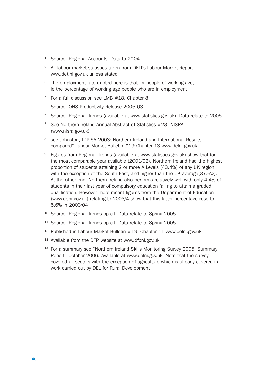- <sup>1</sup> Source: Regional Accounts. Data to 2004
- <sup>2</sup> All labour market statistics taken from DETI's Labour Market Report www.detini.gov.uk unless stated
- <sup>3</sup> The employment rate quoted here is that for people of working age, ie the percentage of working age people who are in employment
- <sup>4</sup> For a full discussion see LMB #18, Chapter 8
- <sup>5</sup> Source: ONS Productivity Release 2005 Q3
- <sup>6</sup> Source: Regional Trends (available at www.statistics.gov.uk). Data relate to 2005
- <sup>7</sup> See Northern Ireland Annual Abstract of Statistics #23, NISRA (www.nisra.gov.uk)
- <sup>8</sup> see Johnston, I "PISA 2003: Northern Ireland and International Results compared" Labour Market Bulletin #19 Chapter 13 www.delni.gov.uk
- 9 Figures from Regional Trends (available at www.statistics.gov.uk) show that for the most comparable year available (2001/02), Northern Ireland had the highest proportion of students attaining 2 or more A Levels (43.4%) of any UK region with the exception of the South East, and higher than the UK average(37.6%). At the other end, Northern Ireland also performs relatively well with only 4.4% of students in their last year of compulsory education failing to attain a graded qualification. However more recent figures from the Department of Education (www.deni.gov.uk) relating to 2003/4 show that this latter percentage rose to 5.6% in 2003/04
- <sup>10</sup> Source: Regional Trends op cit. Data relate to Spring 2005
- <sup>11</sup> Source: Regional Trends op cit. Data relate to Spring 2005
- <sup>12</sup> Published in Labour Market Bulletin #19, Chapter 11 www.delni.gov.uk
- <sup>13</sup> Available from the DFP website at www.dfpni.gov.uk
- <sup>14</sup> For a summary see "Northern Ireland Skills Monitoring Survey 2005: Summary Report" October 2006. Available at www.delni.gov.uk. Note that the survey covered all sectors with the exception of agriculture which is already covered in work carried out by DEL for Rural Development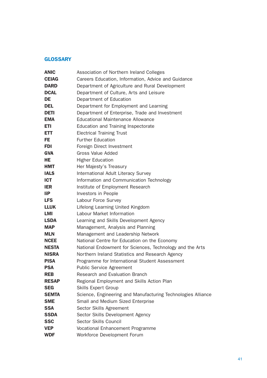#### **GLOSSARY**

| <b>ANIC</b>  | Association of Northern Ireland Colleges                     |  |  |
|--------------|--------------------------------------------------------------|--|--|
| <b>CEIAG</b> | Careers Education, Information, Advice and Guidance          |  |  |
| <b>DARD</b>  | Department of Agriculture and Rural Development              |  |  |
| <b>DCAL</b>  | Department of Culture, Arts and Leisure                      |  |  |
| <b>DE</b>    | Department of Education                                      |  |  |
| <b>DEL</b>   | Department for Employment and Learning                       |  |  |
| <b>DETI</b>  | Department of Enterprise, Trade and Investment               |  |  |
| <b>EMA</b>   | <b>Educational Maintenance Allowance</b>                     |  |  |
| <b>ETI</b>   | Education and Training Inspectorate                          |  |  |
| <b>ETT</b>   | <b>Electrical Training Trust</b>                             |  |  |
| FE.          | <b>Further Education</b>                                     |  |  |
| FDI          | Foreign Direct Investment                                    |  |  |
| <b>GVA</b>   | <b>Gross Value Added</b>                                     |  |  |
| HE           | <b>Higher Education</b>                                      |  |  |
| <b>HMT</b>   | Her Majesty's Treasury                                       |  |  |
| <b>IALS</b>  | International Adult Literacy Survey                          |  |  |
| <b>ICT</b>   | Information and Communication Technology                     |  |  |
| <b>IER</b>   | Institute of Employment Research                             |  |  |
| <b>liP</b>   | Investors in People                                          |  |  |
| <b>LFS</b>   | Labour Force Survey                                          |  |  |
| <b>LLUK</b>  | Lifelong Learning United Kingdom                             |  |  |
| <b>LMI</b>   | Labour Market Information                                    |  |  |
| <b>LSDA</b>  | Learning and Skills Development Agency                       |  |  |
| <b>MAP</b>   | Management, Analysis and Planning                            |  |  |
| <b>MLN</b>   | Management and Leadership Network                            |  |  |
| <b>NCEE</b>  | National Centre for Education on the Economy                 |  |  |
| <b>NESTA</b> | National Endowment for Sciences, Technology and the Arts     |  |  |
| <b>NISRA</b> | Northern Ireland Statistics and Research Agency              |  |  |
| <b>PISA</b>  | Programme for International Student Assessment               |  |  |
| <b>PSA</b>   | <b>Public Service Agreement</b>                              |  |  |
| <b>REB</b>   | Research and Evaluation Branch                               |  |  |
| <b>RESAP</b> | Regional Employment and Skills Action Plan                   |  |  |
| <b>SEG</b>   | <b>Skills Expert Group</b>                                   |  |  |
| <b>SEMTA</b> | Science, Engineering and Manufacturing Technologies Alliance |  |  |
| <b>SME</b>   | Small and Medium Sized Enterprise                            |  |  |
| <b>SSA</b>   | Sector Skills Agreement                                      |  |  |
| <b>SSDA</b>  | Sector Skills Development Agency                             |  |  |
| <b>SSC</b>   | Sector Skills Council                                        |  |  |
| <b>VEP</b>   | Vocational Enhancement Programme                             |  |  |
| <b>WDF</b>   | Workforce Development Forum                                  |  |  |